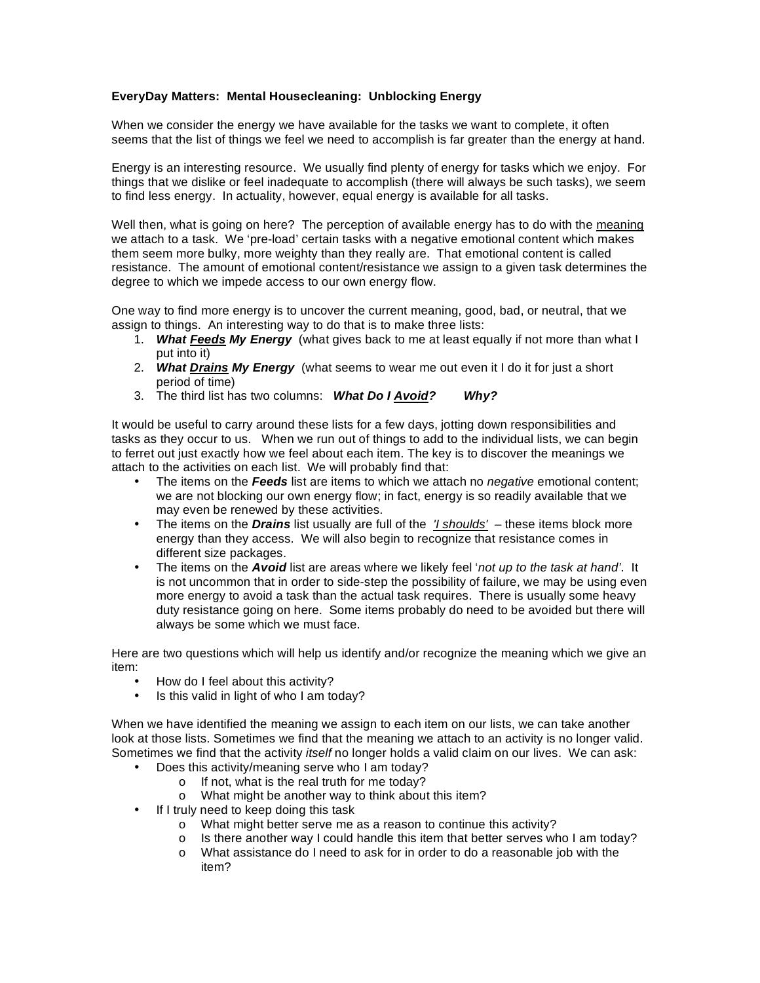## **EveryDay Matters: Mental Housecleaning: Unblocking Energy**

When we consider the energy we have available for the tasks we want to complete, it often seems that the list of things we feel we need to accomplish is far greater than the energy at hand.

Energy is an interesting resource. We usually find plenty of energy for tasks which we enjoy. For things that we dislike or feel inadequate to accomplish (there will always be such tasks), we seem to find less energy. In actuality, however, equal energy is available for all tasks.

Well then, what is going on here? The perception of available energy has to do with the meaning we attach to a task. We 'pre-load' certain tasks with a negative emotional content which makes them seem more bulky, more weighty than they really are. That emotional content is called resistance. The amount of emotional content/resistance we assign to a given task determines the degree to which we impede access to our own energy flow.

One way to find more energy is to uncover the current meaning, good, bad, or neutral, that we assign to things. An interesting way to do that is to make three lists:

- 1. *What Feeds My Energy* (what gives back to me at least equally if not more than what I put into it)
- 2. *What Drains My Energy* (what seems to wear me out even it I do it for just a short period of time)
- 3. The third list has two columns: *What Do I Avoid? Why?*

It would be useful to carry around these lists for a few days, jotting down responsibilities and tasks as they occur to us. When we run out of things to add to the individual lists, we can begin to ferret out just exactly how we feel about each item. The key is to discover the meanings we attach to the activities on each list. We will probably find that:

- The items on the *Feeds* list are items to which we attach no *negative* emotional content; we are not blocking our own energy flow; in fact, energy is so readily available that we may even be renewed by these activities.
- The items on the *Drains* list usually are full of the *'I shoulds'* these items block more energy than they access. We will also begin to recognize that resistance comes in different size packages.
- The items on the *Avoid* list are areas where we likely feel '*not up to the task at hand'*. It is not uncommon that in order to side-step the possibility of failure, we may be using even more energy to avoid a task than the actual task requires. There is usually some heavy duty resistance going on here. Some items probably do need to be avoided but there will always be some which we must face.

Here are two questions which will help us identify and/or recognize the meaning which we give an item:

- How do I feel about this activity?<br>• Is this valid in light of who I am to
- Is this valid in light of who I am today?

When we have identified the meaning we assign to each item on our lists, we can take another look at those lists. Sometimes we find that the meaning we attach to an activity is no longer valid. Sometimes we find that the activity *itself* no longer holds a valid claim on our lives. We can ask:

- Does this activity/meaning serve who I am today?
	- o If not, what is the real truth for me today?
	- o What might be another way to think about this item?
- If I truly need to keep doing this task
	- o What might better serve me as a reason to continue this activity?
	- o Is there another way I could handle this item that better serves who I am today?
	- o What assistance do I need to ask for in order to do a reasonable job with the item?